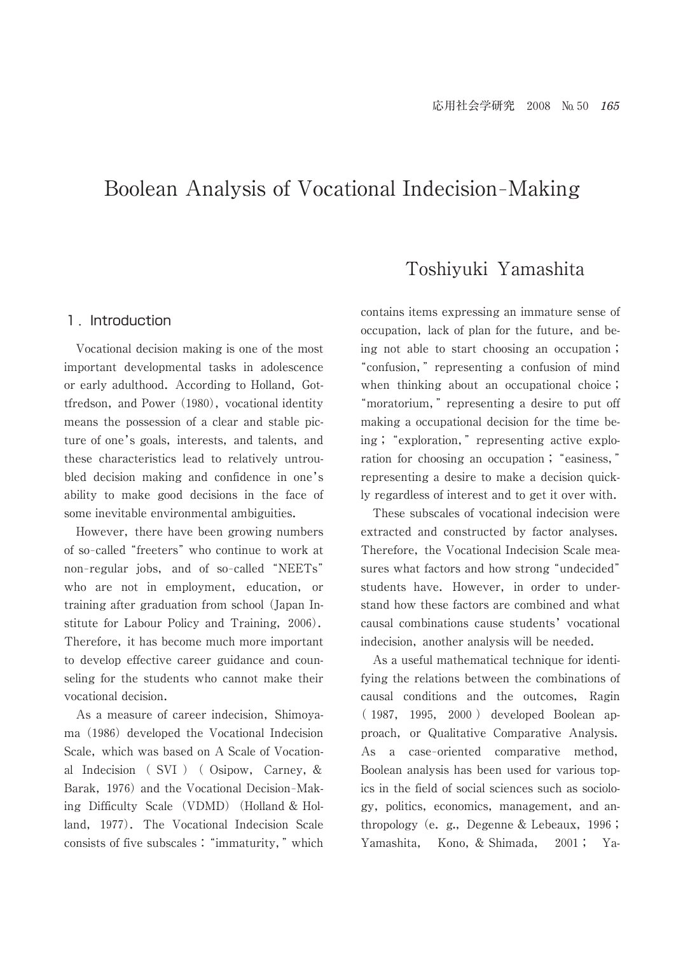# Boolean Analysis of Vocational Indecision-Making

## 1. Introduction

 Vocational decision making is one of the most important developmental tasks in adolescence or early adulthood. According to Holland, Gottfredson, and Power (1980), vocational identity means the possession of a clear and stable picture of one's goals, interests, and talents, and these characteristics lead to relatively untroubled decision making and confidence in one's ability to make good decisions in the face of some inevitable environmental ambiguities.

 However, there have been growing numbers of so-called "freeters" who continue to work at non-regular jobs, and of so-called "NEETs" who are not in employment, education, or training after graduation from school (Japan Institute for Labour Policy and Training, 2006). Therefore, it has become much more important to develop effective career guidance and counseling for the students who cannot make their vocational decision.

 As a measure of career indecision, Shimoyama (1986) developed the Vocational Indecision Scale, which was based on A Scale of Vocational Indecision ( SVI ) ( Osipow, Carney, & Barak, 1976) and the Vocational Decision-Making Difficulty Scale (VDMD) (Holland & Holland, 1977). The Vocational Indecision Scale consists of five subscales : "immaturity," which

## Toshiyuki Yamashita

contains items expressing an immature sense of occupation, lack of plan for the future, and being not able to start choosing an occupation ; ┣confusion,─ representing a confusion of mind when thinking about an occupational choice; "moratorium," representing a desire to put off making a occupational decision for the time being; "exploration," representing active exploration for choosing an occupation; "easiness," representing a desire to make a decision quickly regardless of interest and to get it over with.

 These subscales of vocational indecision were extracted and constructed by factor analyses. Therefore, the Vocational Indecision Scale measures what factors and how strong "undecided" students have. However, in order to understand how these factors are combined and what causal combinations cause students' vocational indecision, another analysis will be needed.

 As a useful mathematical technique for identifying the relations between the combinations of causal conditions and the outcomes, Ragin ( 1987, 1995, 2000 ) developed Boolean approach, or Qualitative Comparative Analysis. As a case-oriented comparative method, Boolean analysis has been used for various topics in the field of social sciences such as sociology, politics, economics, management, and anthropology (e. g., Degenne & Lebeaux,  $1996$ ; Yamashita, Kono, & Shimada, 2001 ; Ya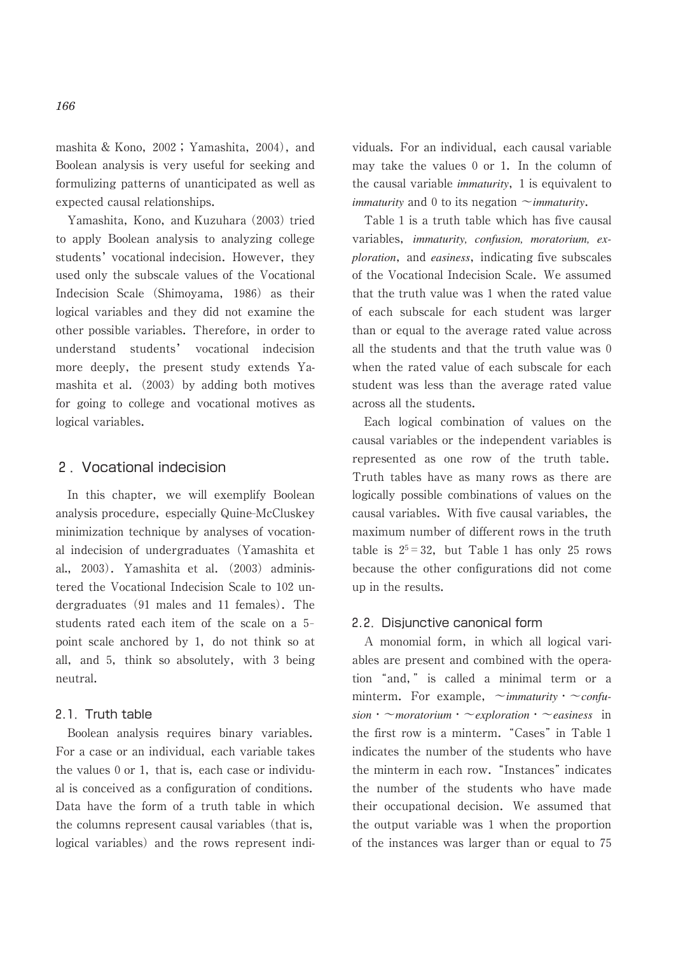mashita & Kono, 2002 ; Yamashita, 2004), and Boolean analysis is very useful for seeking and formulizing patterns of unanticipated as well as expected causal relationships.

 Yamashita, Kono, and Kuzuhara (2003) tried to apply Boolean analysis to analyzing college students' vocational indecision. However, they used only the subscale values of the Vocational Indecision Scale (Shimoyama, 1986) as their logical variables and they did not examine the other possible variables. Therefore, in order to understand students' vocational indecision more deeply, the present study extends Yamashita et al. (2003) by adding both motives for going to college and vocational motives as logical variables.

## 2.Vocational indecision

 In this chapter, we will exemplify Boolean analysis procedure, especially Quine-McCluskey minimization technique by analyses of vocational indecision of undergraduates (Yamashita et al., 2003). Yamashita et al.  $(2003)$  administered the Vocational Indecision Scale to 102 undergraduates (91 males and 11 females). The students rated each item of the scale on a 5point scale anchored by 1, do not think so at all, and 5, think so absolutely, with 3 being neutral.

#### 2.1.Truth table

 Boolean analysis requires binary variables. For a case or an individual, each variable takes the values 0 or 1, that is, each case or individual is conceived as a configuration of conditions. Data have the form of a truth table in which the columns represent causal variables (that is, logical variables) and the rows represent individuals. For an individual, each causal variable may take the values 0 or 1. In the column of the causal variable *immaturity*, 1 is equivalent to *immaturity* and 0 to its negation ~*immaturity*.

 Table 1 is a truth table which has five causal variables, *immaturity, confusion, moratorium, exploration*, and *easiness*, indicating five subscales of the Vocational Indecision Scale. We assumed that the truth value was 1 when the rated value of each subscale for each student was larger than or equal to the average rated value across all the students and that the truth value was 0 when the rated value of each subscale for each student was less than the average rated value across all the students.

 Each logical combination of values on the causal variables or the independent variables is represented as one row of the truth table. Truth tables have as many rows as there are logically possible combinations of values on the causal variables. With five causal variables, the maximum number of different rows in the truth table is  $2^5 = 32$ , but Table 1 has only 25 rows because the other configurations did not come up in the results.

#### 2.2.Disjunctive canonical form

 A monomial form, in which all logical variables are present and combined with the operation "and," is called a minimal term or a minterm. For example,  $\sim$ *immaturity*  $\sim$ *confusion*・~*moratorium*・~*exploration*・~*easiness* in the first row is a minterm. "Cases" in Table 1 indicates the number of the students who have the minterm in each row. "Instances" indicates the number of the students who have made their occupational decision. We assumed that the output variable was 1 when the proportion of the instances was larger than or equal to 75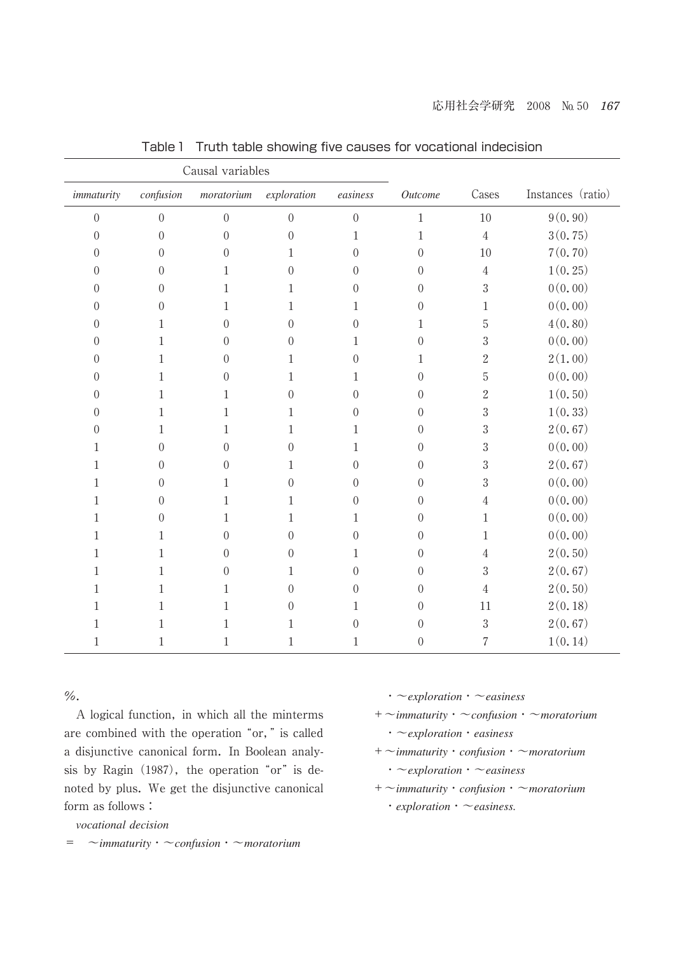| Causal variables |                |                  |                  |                  |                  |                |                   |
|------------------|----------------|------------------|------------------|------------------|------------------|----------------|-------------------|
| immaturity       | confusion      | m or a torium    | exploration      | easiness         | Outcome          | Cases          | Instances (ratio) |
| $\overline{0}$   | $\overline{0}$ | $\mathbf{0}$     | $\boldsymbol{0}$ | $\boldsymbol{0}$ | $\,1$            | 10             | 9(0, 90)          |
| $\mathbf{0}$     | $\theta$       | $\mathbf{0}$     | $\overline{0}$   | 1                | $\mathbf 1$      | $\sqrt{4}$     | 3(0.75)           |
| $\mathbf{0}$     | $\Omega$       | $\mathbf{0}$     | 1                | $\theta$         | $\boldsymbol{0}$ | 10             | 7(0.70)           |
| $\overline{0}$   | 0              | $\mathbf{1}$     | $\overline{0}$   | $\overline{0}$   | $\boldsymbol{0}$ | $\overline{4}$ | 1(0.25)           |
| $\mathbf{0}$     | $\theta$       | 1                | 1                | $\overline{0}$   | $\boldsymbol{0}$ | $\sqrt{3}$     | 0(0.00)           |
| $\theta$         | $\theta$       | 1                | 1                | 1                | $\boldsymbol{0}$ | 1              | 0(0.00)           |
| $\mathbf{0}$     | 1              | $\overline{0}$   | $\mathbf{0}$     | $\mathbf{0}$     | 1                | $\mathbf 5$    | 4(0.80)           |
| $\theta$         | 1              | $\theta$         | $\theta$         | $\mathbf{1}$     | $\boldsymbol{0}$ | $\sqrt{3}$     | 0(0.00)           |
| $\mathbf{0}$     | 1              | $\theta$         | 1                | $\theta$         | $\mathbf 1$      | $\overline{2}$ | 2(1.00)           |
| $\mathbf{0}$     | 1              | $\theta$         | 1                | 1                | $\boldsymbol{0}$ | $\mathbf 5$    | 0(0.00)           |
| $\mathbf{0}$     | 1              | $\,1$            | $\overline{0}$   | $\mathbf{0}$     | $\boldsymbol{0}$ | $\overline{2}$ | 1(0.50)           |
| $\overline{0}$   | $\mathbf{1}$   | $1\,$            | $\mathbf{1}$     | $\overline{0}$   | $\boldsymbol{0}$ | $\sqrt{3}$     | 1(0.33)           |
| $\theta$         | 1              | 1                | 1                | 1                | $\boldsymbol{0}$ | 3              | 2(0.67)           |
| 1                | $\Omega$       | $\mathbf{0}$     | $\theta$         | 1                | $\boldsymbol{0}$ | $\sqrt{3}$     | 0(0.00)           |
| 1                | 0              | $\overline{0}$   | 1                | $\overline{0}$   | $\boldsymbol{0}$ | $\sqrt{3}$     | 2(0.67)           |
| 1                | $\theta$       | 1                | $\overline{0}$   | $\overline{0}$   | $\boldsymbol{0}$ | 3              | 0(0.00)           |
| 1                | 0              | 1                | 1                | $\theta$         | $\boldsymbol{0}$ | 4              | 0(0.00)           |
| 1                | 0              | 1                | 1                | 1                | $\boldsymbol{0}$ | $\mathbf{1}$   | 0(0.00)           |
| 1                | 1              | $\boldsymbol{0}$ | $\theta$         | $\mathbf{0}$     | $\boldsymbol{0}$ | $\mathbf{1}$   | 0(0.00)           |
| 1                | 1              | $\overline{0}$   | $\overline{0}$   | 1                | $\boldsymbol{0}$ | 4              | 2(0.50)           |
| 1                | 1              | $\mathbf{0}$     | 1                | $\overline{0}$   | $\boldsymbol{0}$ | 3              | 2(0.67)           |
| 1                | 1              | $\mathbf{1}$     | $\overline{0}$   | $\theta$         | $\boldsymbol{0}$ | $\overline{4}$ | 2(0.50)           |
| 1                | $\mathbf{1}$   | $1\,$            | $\boldsymbol{0}$ | $\mathbf{1}$     | $\boldsymbol{0}$ | 11             | 2(0.18)           |
| 1                | 1              | 1                | 1                | $\theta$         | 0                | $\sqrt{3}$     | 2(0.67)           |
| 1                | 1              | 1                | 1                | 1                | $\boldsymbol{0}$ | $\sqrt{2}$     | 1(0.14)           |

Table 1 Truth table showing five causes for vocational indecision

 $\%$ .

 A logical function, in which all the minterms are combined with the operation "or," is called a disjunctive canonical form. In Boolean analysis by Ragin  $(1987)$ , the operation "or" is denoted by plus. We get the disjunctive canonical form as follows :

*vocational decision*

= ~*immaturity*・~*confusion*・~*moratorium*

- ・~*exploration*・~*easiness*
- +~*immaturity*・~*confusion*・~*moratorium*
	- ・~*exploration*・*easiness*
- +~*immaturity*・*confusion*・~*moratorium*
	- ・~*exploration*・~*easiness*
- +~*immaturity*・*confusion*・~*moratorium*
	- ・*exploration*・~*easiness.*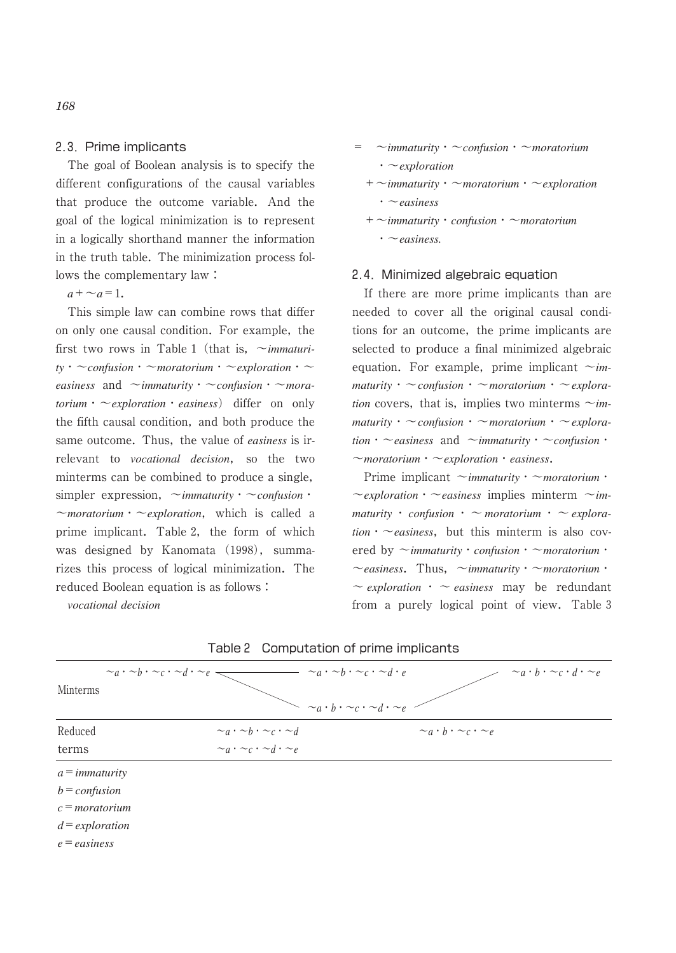### 2.3.Prime implicants

 The goal of Boolean analysis is to specify the different configurations of the causal variables that produce the outcome variable. And the goal of the logical minimization is to represent in a logically shorthand manner the information in the truth table. The minimization process follows the complementary law :

 $a + \sim a = 1$ .

 This simple law can combine rows that differ on only one causal condition. For example, the first two rows in Table 1 (that is, ~*immaturity*・~*confusion*・~*moratorium*・~*exploration*・~  $e$ *asiness* and  $\sim$ *immaturity*  $\sim$ *confusion*  $\sim$ *mora* $torium \cdot \sim$ *exploration*  $\cdot$  *easiness*) differ on only the fifth causal condition, and both produce the same outcome. Thus, the value of *easiness* is irrelevant to *vocational decision*, so the two minterms can be combined to produce a single, simpler expression,  $\sim$ *immaturity* ·  $\sim$ *confusion* · ~*moratorium*・~*exploration*, which is called a prime implicant. Table 2, the form of which was designed by Kanomata (1998), summarizes this process of logical minimization. The reduced Boolean equation is as follows :

*vocational decision*

$$
= \sim \text{immutivity} \cdot \sim \text{confusion} \cdot \sim \text{moratorium}
$$
\n
$$
\cdot \sim \text{explocation}
$$
\n
$$
+ \sim \text{immaturity} \cdot \sim \text{moratorium} \cdot \sim \text{explocation}
$$
\n
$$
\cdot \sim \text{easiness}
$$
\n
$$
+ \sim \text{immaturity} \cdot \text{confusion} \cdot \sim \text{moratorium}
$$
\n
$$
\sim \text{easiness.}
$$

#### 2.4.Minimized algebraic equation

 If there are more prime implicants than are needed to cover all the original causal conditions for an outcome, the prime implicants are selected to produce a final minimized algebraic equation. For example, prime implicant  $\sim$ *immaturity*・~*confusion*・~*moratorium*・~*exploration* covers, that is, implies two minterms  $\sim$ *immaturity*・~*confusion*・~*moratorium*・~*exploration*・~*easiness* and ~*immaturity*・~*confusion*・ ~*moratorium*・~*exploration*・*easiness*.

 Prime implicant ~*immaturity*・~*moratorium*・  $\sim$ *exploration*  $\sim$  *easiness* implies minterm  $\sim$ *immaturity* ・ *confusion* ・ ~ *moratorium* ・ ~ *explora-* $$ ered by ~*immaturity*・*confusion*・~*moratorium*・ ~*easiness*. Thus, ~*immaturity*・~*moratorium*・  $\sim$  *exploration*  $\cdot$   $\sim$  *easiness* may be redundant from a purely logical point of view. Table 3

| $\sim_a \cdot \sim_b \cdot \sim_c \cdot \sim_d \cdot \sim_e$<br>Minterms |                                                 | $\sim_a \cdot \sim_b \cdot \sim_c \cdot \sim_d \cdot e$<br>$\sim_a \cdot b \cdot \sim_c \cdot d \cdot \sim_e$<br>$\sim_a \cdot b \cdot \sim_c \cdot \sim_d \cdot \sim_e$ |
|--------------------------------------------------------------------------|-------------------------------------------------|--------------------------------------------------------------------------------------------------------------------------------------------------------------------------|
| Reduced                                                                  | $\sim_a \cdot \sim_b \cdot \sim_c \cdot \sim_d$ | $\sim_a \cdot b \cdot \sim_c \cdot \sim_e$                                                                                                                               |
| terms                                                                    | $\sim_a \cdot \sim_c \cdot \sim_d \cdot \sim_e$ |                                                                                                                                                                          |
| $a = \text{immatrix}$                                                    |                                                 |                                                                                                                                                                          |
| $b =$ confusion                                                          |                                                 |                                                                                                                                                                          |
| $c =$ moratorium                                                         |                                                 |                                                                                                                                                                          |
| $d = exploration$                                                        |                                                 |                                                                                                                                                                          |
|                                                                          |                                                 |                                                                                                                                                                          |

|  |  | Table 2 Computation of prime implicants |  |  |  |
|--|--|-----------------------------------------|--|--|--|
|--|--|-----------------------------------------|--|--|--|

*e*=*easiness*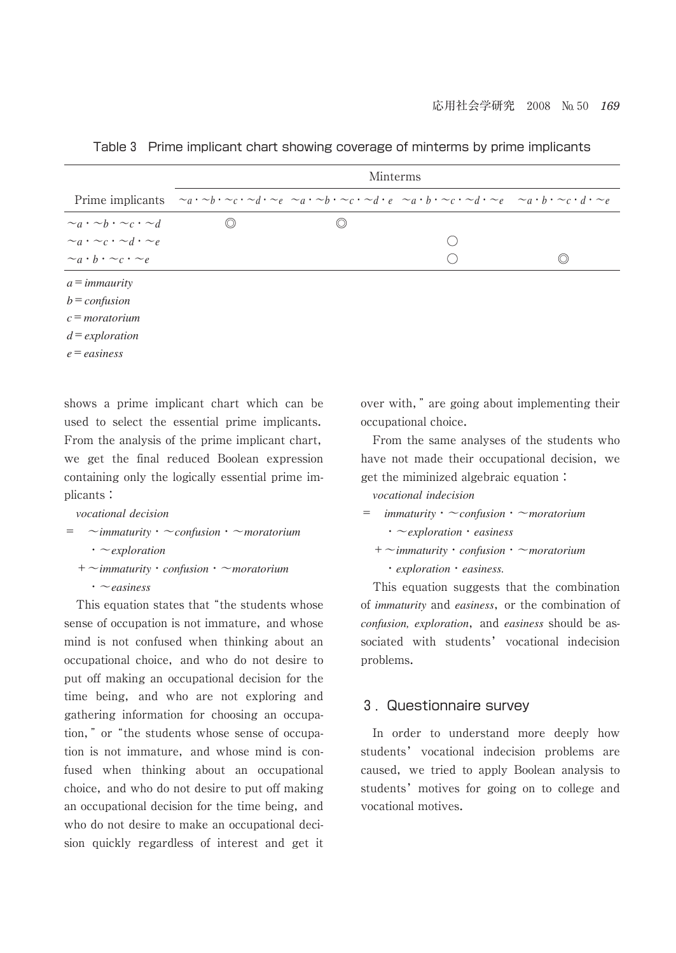|                                                 | <b>Minterms</b>                                                                                                                                                                                                                                                                  |  |  |  |  |  |
|-------------------------------------------------|----------------------------------------------------------------------------------------------------------------------------------------------------------------------------------------------------------------------------------------------------------------------------------|--|--|--|--|--|
|                                                 | Prime implicants $\alpha a \cdot \alpha b \cdot \alpha c \cdot \alpha d \cdot \alpha e$ $\alpha a \cdot \alpha b \cdot \alpha c \cdot \alpha d \cdot e$ $\alpha a \cdot b \cdot \alpha c \cdot \alpha d \cdot \alpha e$ $\alpha a \cdot b \cdot \alpha c \cdot d \cdot \alpha e$ |  |  |  |  |  |
| $\sim_a \cdot \sim_b \cdot \sim_c \cdot \sim_d$ |                                                                                                                                                                                                                                                                                  |  |  |  |  |  |
| $\sim_a \cdot \sim_c \cdot \sim_d \cdot \sim_e$ |                                                                                                                                                                                                                                                                                  |  |  |  |  |  |
| $\sim_a \cdot b \cdot \sim_c \cdot \sim_e$      |                                                                                                                                                                                                                                                                                  |  |  |  |  |  |
| $a = \text{im}_{\text{max}}$                    |                                                                                                                                                                                                                                                                                  |  |  |  |  |  |
| $h = \alpha$                                    |                                                                                                                                                                                                                                                                                  |  |  |  |  |  |

Table 3 Prime implicant chart showing coverage of minterms by prime implicants

*b*=*confusion*

*c*=*moratorium*

*d*=*exploration*

*e*=*easiness*

shows a prime implicant chart which can be used to select the essential prime implicants. From the analysis of the prime implicant chart, we get the final reduced Boolean expression containing only the logically essential prime implicants :

### *vocational decision*

$$
= \sim \text{immatrix} \cdot \sim \text{confusion} \cdot \sim \text{moratorium}
$$
  

$$
\sim \text{explocation}
$$

 +~*immaturity*・*confusion*・~*moratorium* ・~*easiness*

This equation states that "the students whose sense of occupation is not immature, and whose mind is not confused when thinking about an occupational choice, and who do not desire to put off making an occupational decision for the time being, and who are not exploring and gathering information for choosing an occupation," or "the students whose sense of occupation is not immature, and whose mind is confused when thinking about an occupational choice, and who do not desire to put off making an occupational decision for the time being, and who do not desire to make an occupational decision quickly regardless of interest and get it over with," are going about implementing their occupational choice.

 From the same analyses of the students who have not made their occupational decision, we get the miminized algebraic equation :

*vocational indecision*

| $=$ | <i>immaturity</i> $\cdot \sim$ <i>confusion</i> $\cdot \sim$ <i>moratorium</i>         |
|-----|----------------------------------------------------------------------------------------|
|     | $\cdot \sim$ exploration $\cdot$ easiness                                              |
|     | $+$ $\sim$ <i>immaturity</i> $\cdot$ <i>confusion</i> $\cdot$ $\sim$ <i>moratorium</i> |

・*exploration*・*easiness.*

 This equation suggests that the combination of *immaturity* and *easiness*, or the combination of *confusion, exploration*, and *easiness* should be associated with students' vocational indecision problems.

## 3.Questionnaire survey

 In order to understand more deeply how students' vocational indecision problems are caused, we tried to apply Boolean analysis to students' motives for going on to college and vocational motives.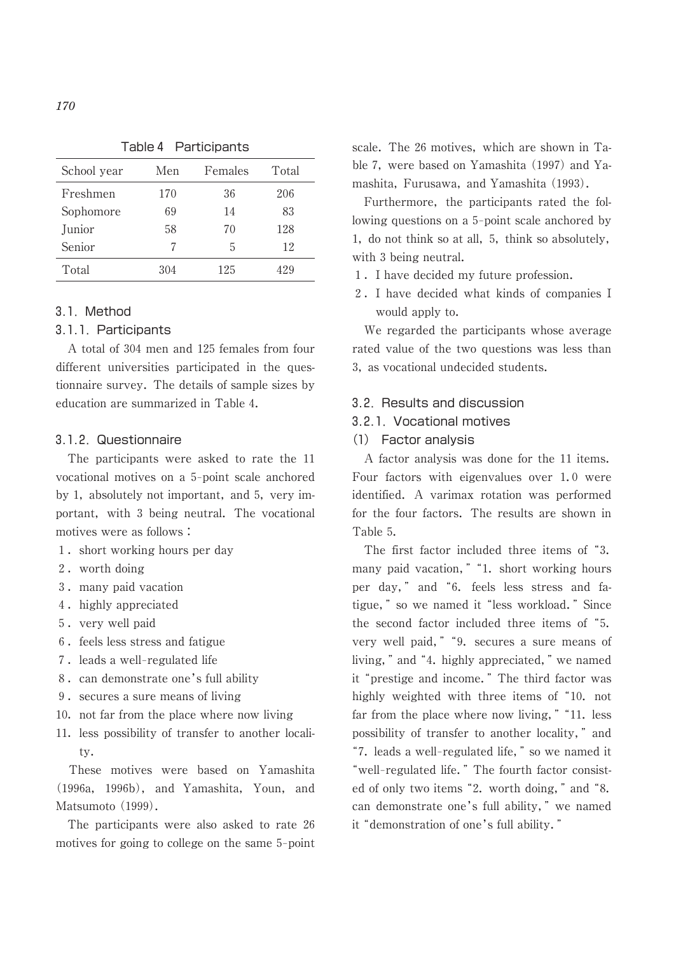| School year | Men | Females | Total |
|-------------|-----|---------|-------|
| Freshmen    | 170 | 36      | 206   |
| Sophomore   | 69  | 14      | 83    |
| Junior      | 58  | 70      | 128   |
| Senior      | 7   | 5       | 12    |
| Total       | 304 | 125     | 429   |

Table 4 Participants

## 3.1.Method

#### 3.1.1.Participants

 A total of 304 men and 125 females from four different universities participated in the questionnaire survey. The details of sample sizes by education are summarized in Table 4.

#### 3.1.2.Questionnaire

 The participants were asked to rate the 11 vocational motives on a 5-point scale anchored by 1, absolutely not important, and 5, very important, with 3 being neutral. The vocational motives were as follows :

- 1. short working hours per day
- 2.worth doing
- 3.many paid vacation
- 4. highly appreciated
- 5.very well paid
- 6.feels less stress and fatigue
- 7. leads a well-regulated life
- 8. can demonstrate one's full ability
- 9. secures a sure means of living
- 10. not far from the place where now living
- 11. less possibility of transfer to another locality.

 These motives were based on Yamashita (1996a, 1996b), and Yamashita, Youn, and Matsumoto (1999).

 The participants were also asked to rate 26 motives for going to college on the same 5-point scale. The 26 motives, which are shown in Table 7, were based on Yamashita (1997) and Yamashita, Furusawa, and Yamashita (1993).

 Furthermore, the participants rated the following questions on a 5-point scale anchored by 1, do not think so at all, 5, think so absolutely, with 3 being neutral.

- 1.I have decided my future profession.
- 2.I have decided what kinds of companies I would apply to.

 We regarded the participants whose average rated value of the two questions was less than 3, as vocational undecided students.

#### 3.2. Results and discussion

#### 3.2.1.Vocational motives

(1) Factor analysis

 A factor analysis was done for the 11 items. Four factors with eigenvalues over 1.0 were identified. A varimax rotation was performed for the four factors. The results are shown in Table 5.

The first factor included three items of "3. many paid vacation," "1. short working hours per day," and "6. feels less stress and fatigue, " so we named it "less workload. " Since the second factor included three items of "5. very well paid, " "9. secures a sure means of living, " and "4. highly appreciated, " we named it "prestige and income." The third factor was highly weighted with three items of "10. not far from the place where now living,  $"$  "11. less possibility of transfer to another locality," and "7. leads a well-regulated life," so we named it "well-regulated life." The fourth factor consisted of only two items "2. worth doing," and "8. can demonstrate one's full ability," we named it "demonstration of one's full ability."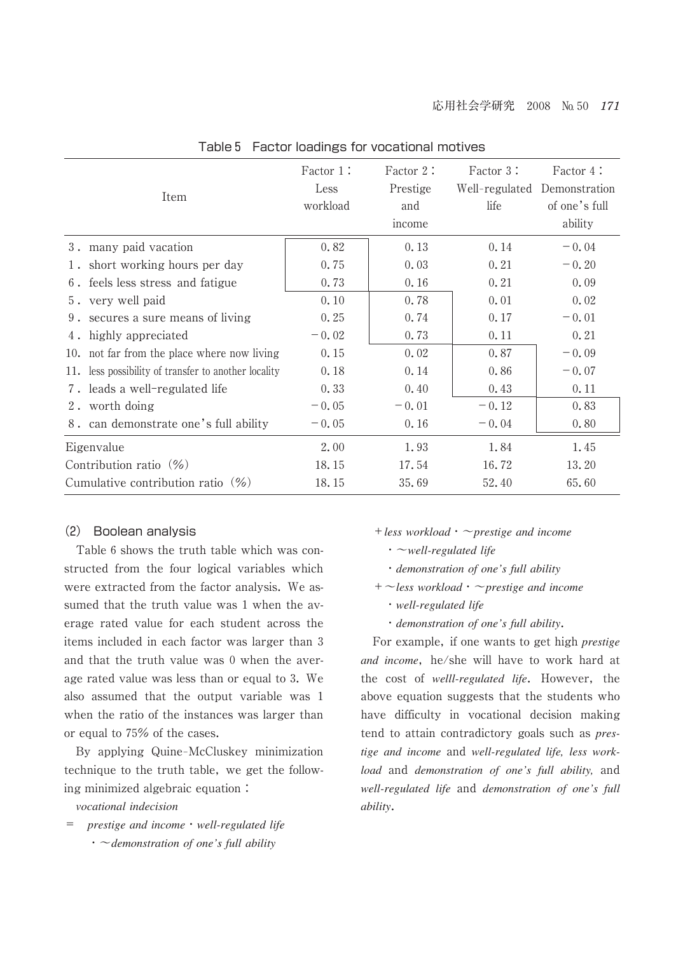| Item                                                 | Factor 1:<br>Less<br>workload | Factor 2:<br>Prestige<br>and<br>income | Factor 3:<br>Well-regulated Demonstration<br>life | Factor 4:<br>of one's full<br>ability |
|------------------------------------------------------|-------------------------------|----------------------------------------|---------------------------------------------------|---------------------------------------|
| 3. many paid vacation                                | 0.82                          | 0.13                                   | 0.14                                              | $-0.04$                               |
| 1. short working hours per day                       | 0.75                          | 0.03                                   | 0.21                                              | $-0.20$                               |
| 6. feels less stress and fatigue                     | 0.73                          | 0.16                                   | 0.21                                              | 0.09                                  |
| 5. very well paid                                    | 0.10                          | 0.78                                   | 0.01                                              | 0.02                                  |
| 9. secures a sure means of living                    | 0.25                          | 0.74                                   | 0.17                                              | $-0.01$                               |
| highly appreciated<br>4.                             | $-0.02$                       | 0.73                                   | 0.11                                              | 0.21                                  |
| 10. not far from the place where now living          | 0.15                          | 0.02                                   | 0.87                                              | $-0.09$                               |
| 11. less possibility of transfer to another locality | 0.18                          | 0.14                                   | 0.86                                              | $-0.07$                               |
| 7. leads a well-regulated life                       | 0.33                          | 0.40                                   | 0.43                                              | 0.11                                  |
| 2. worth doing                                       | $-0.05$                       | $-0.01$                                | $-0.12$                                           | 0.83                                  |
| 8. can demonstrate one's full ability                | $-0.05$                       | 0.16                                   | $-0.04$                                           | 0.80                                  |
| Eigenvalue                                           | 2.00                          | 1.93                                   | 1.84                                              | 1.45                                  |
| Contribution ratio $(\% )$                           | 18.15                         | 17.54                                  | 16.72                                             | 13.20                                 |
| Cumulative contribution ratio $(\% )$                | 18.15                         | 35.69                                  | 52.40                                             | 65.60                                 |

Table 5 Factor loadings for vocational motives

#### (2) Boolean analysis

 Table 6 shows the truth table which was constructed from the four logical variables which were extracted from the factor analysis. We assumed that the truth value was 1 when the average rated value for each student across the items included in each factor was larger than 3 and that the truth value was 0 when the average rated value was less than or equal to 3. We also assumed that the output variable was 1 when the ratio of the instances was larger than or equal to 75% of the cases.

By applying Quine-McCluskey minimization technique to the truth table, we get the following minimized algebraic equation :

*vocational indecision*

= *prestige and income*・*well-regulated life* ・~*demonstration of one's full ability*

- +*less workload*・~*prestige and income*
	- ・~*well-regulated life*
	- ・*demonstration of one's full ability*
- +~*less workload*・~*prestige and income*
	- ・*well-regulated life*
	- ・*demonstration of one's full ability*.

 For example, if one wants to get high *prestige and income*, he/she will have to work hard at the cost of *welll-regulated life*. However, the above equation suggests that the students who have difficulty in vocational decision making tend to attain contradictory goals such as *prestige and income* and *well-regulated life, less workload* and *demonstration of one's full ability,* and *well-regulated life* and *demonstration of one's full ability*.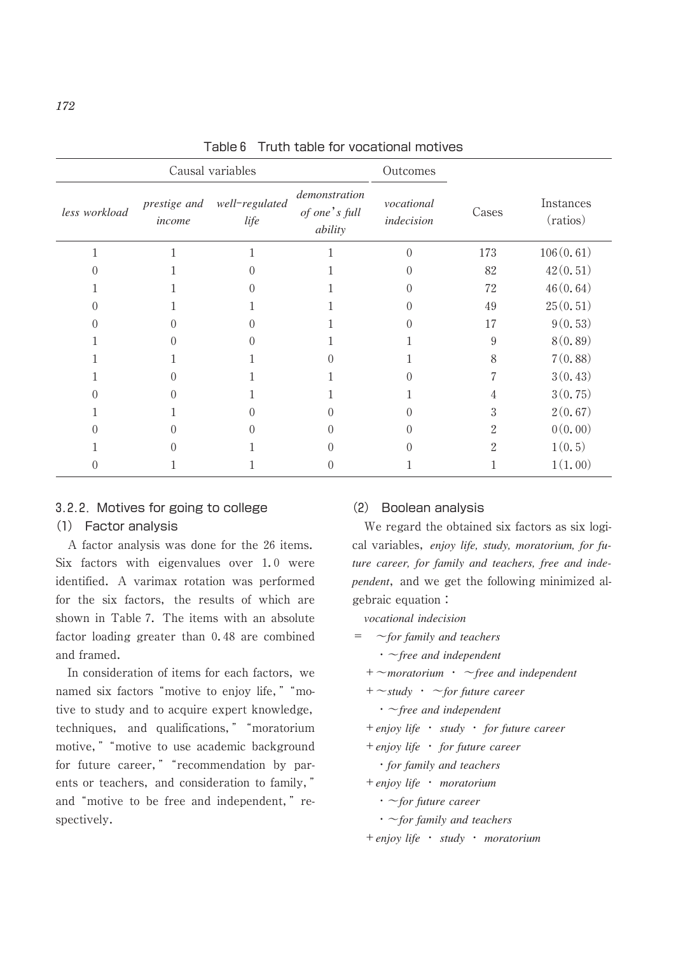|                  |                        | Causal variables       | Outcomes                                  |                          |                |                       |
|------------------|------------------------|------------------------|-------------------------------------------|--------------------------|----------------|-----------------------|
| less workload    | prestige and<br>income | well-regulated<br>life | demonstration<br>of one's full<br>ability | vocational<br>indecision | Cases          | Instances<br>(ratios) |
| 1                |                        | 1                      |                                           | $\theta$                 | 173            | 106(0.61)             |
|                  |                        |                        |                                           |                          | 82             | 42(0, 51)             |
|                  |                        |                        |                                           |                          | 72             | 46(0.64)              |
| $\left( \right)$ |                        |                        |                                           | $\Omega$                 | 49             | 25(0.51)              |
| 0                |                        | $\Omega$               |                                           | ∩                        | 17             | 9(0.53)               |
|                  |                        | $\Omega$               |                                           |                          | 9              | 8(0.89)               |
|                  |                        |                        | 0                                         |                          | 8              | 7(0.88)               |
|                  |                        |                        |                                           | $\Omega$                 |                | 3(0.43)               |
| $\left( \right)$ |                        |                        |                                           |                          | 4              | 3(0.75)               |
|                  |                        |                        |                                           | $\Omega$                 | 3              | 2(0.67)               |
| $\mathcal{O}$    |                        |                        |                                           | $\Omega$                 | $\overline{2}$ | 0(0.00)               |
|                  |                        |                        |                                           | $\left($                 | $\overline{2}$ | 1(0, 5)               |
|                  |                        |                        |                                           |                          |                | 1(1.00)               |

Table 6 Truth table for vocational motives

## 3.2.2.Motives for going to college

## (1) Factor analysis

 A factor analysis was done for the 26 items. Six factors with eigenvalues over 1.0 were identified. A varimax rotation was performed for the six factors, the results of which are shown in Table 7. The items with an absolute factor loading greater than 0.48 are combined and framed.

 In consideration of items for each factors, we named six factors "motive to enjoy life," "motive to study and to acquire expert knowledge, techniques, and qualifications," "moratorium motive," "motive to use academic background for future career, " "recommendation by parents or teachers, and consideration to family," and "motive to be free and independent," respectively.

#### (2) Boolean analysis

 We regard the obtained six factors as six logical variables, *enjoy life, study, moratorium, for future career, for family and teachers, free and independent*, and we get the following minimized algebraic equation :

*vocational indecision*

- = ~*for family and teachers*
	- ・~*free and independent*

+~*moratorium* ・ ~*free and independent*

+~*study* ・ ~*for future career*

・~*free and independent*

+*enjoy life* ・ *study* ・ *for future career*

+*enjoy life* ・ *for future career*

・*for family and teachers*

+*enjoy life* ・ *moratorium*

・~*for future career*

・~*for family and teachers*

+*enjoy life* ・ *study* ・ *moratorium*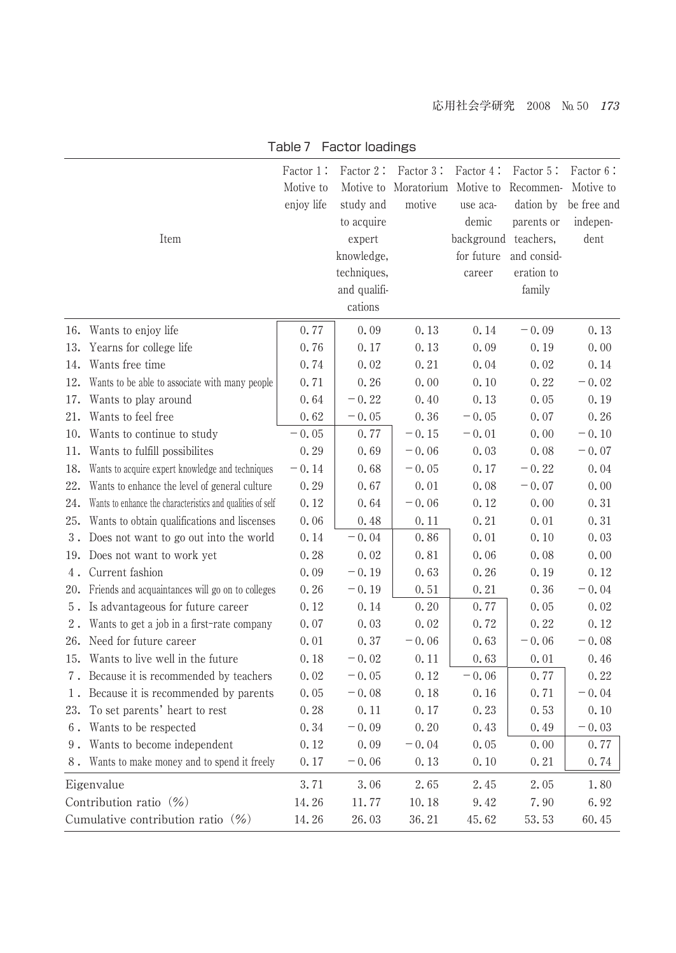|                                   |                                                            | Factor 1:  | Factor 2:    | Factor 3:                      | Factor 4:            | Factor 5:   | Factor 6:   |
|-----------------------------------|------------------------------------------------------------|------------|--------------|--------------------------------|----------------------|-------------|-------------|
|                                   |                                                            | Motive to  |              | Motive to Moratorium Motive to |                      | Recommen-   | Motive to   |
|                                   |                                                            | enjoy life | study and    | motive                         | use aca-             | dation by   | be free and |
|                                   |                                                            |            | to acquire   |                                | demic                | parents or  | indepen-    |
|                                   | Item                                                       |            | expert       |                                | background teachers, |             | dent        |
|                                   |                                                            |            | knowledge,   |                                | for future           | and consid- |             |
|                                   |                                                            |            | techniques,  |                                | career               | eration to  |             |
|                                   |                                                            |            | and qualifi- |                                |                      | family      |             |
|                                   |                                                            |            | cations      |                                |                      |             |             |
|                                   | 16. Wants to enjoy life                                    | 0.77       | 0.09         | 0.13                           | 0.14                 | $-0.09$     | 0.13        |
| 13.                               | Yearns for college life                                    | 0.76       | 0.17         | 0.13                           | 0.09                 | 0.19        | 0.00        |
| 14.                               | Wants free time                                            | 0.74       | 0.02         | 0.21                           | 0.04                 | 0.02        | 0.14        |
| 12.                               | Wants to be able to associate with many people             | 0.71       | $0.\,26$     | 0.00                           | 0.10                 | 0.22        | $-0.02$     |
| 17.                               | Wants to play around                                       | 0.64       | $-0.22$      | 0.40                           | 0.13                 | 0.05        | 0.19        |
| 21.                               | Wants to feel free                                         | 0.62       | $-0.05$      | 0.36                           | $-0.05$              | 0.07        | 0.26        |
| 10.                               | Wants to continue to study                                 | $-0.05$    | 0.77         | $-0.15$                        | $-0.01$              | 0.00        | $-0.10$     |
| 11.                               | Wants to fulfill possibilites                              | 0.29       | 0.69         | $-0.06$                        | 0.03                 | 0.08        | $-0.07$     |
| 18.                               | Wants to acquire expert knowledge and techniques           | $-0.14$    | 0.68         | $-0.05$                        | 0.17                 | $-0.22$     | 0.04        |
| 22.                               | Wants to enhance the level of general culture              | 0.29       | 0.67         | 0.01                           | 0.08                 | $-0.07$     | 0.00        |
| 24.                               | Wants to enhance the characteristics and qualities of self | 0.12       | 0.64         | $-0.06$                        | 0.12                 | 0.00        | 0.31        |
| 25.                               | Wants to obtain qualifications and liscenses               | 0.06       | 0.48         | 0.11                           | 0.21                 | 0.01        | 0.31        |
| $3$ .                             | Does not want to go out into the world                     | 0.14       | $-0.04$      | 0.86                           | 0.01                 | 0.10        | 0.03        |
| 19.                               | Does not want to work yet                                  | 0.28       | 0.02         | 0.81                           | 0.06                 | 0.08        | 0.00        |
| 4.                                | Current fashion                                            | 0.09       | $-0.19$      | 0.63                           | 0.26                 | 0.19        | 0.12        |
|                                   | 20. Friends and acquaintances will go on to colleges       | 0.26       | $-0.19$      | 0.51                           | 0.21                 | 0.36        | $-0.04$     |
|                                   | 5. Is advantageous for future career                       | 0.12       | 0.14         | 0.20                           | 0.77                 | 0.05        | 0.02        |
| $2$ .                             | Wants to get a job in a first-rate company                 | 0.07       | 0.03         | 0.02                           | 0.72                 | 0.22        | 0.12        |
| 26.                               | Need for future career                                     | 0.01       | 0.37         | $-0.06$                        | 0.63                 | $-0.06$     | $-0.08$     |
| 15.                               | Wants to live well in the future                           | 0.18       | $-0.02$      | 0.11                           | 0.63                 | 0.01        | 0.46        |
| 7.                                | Because it is recommended by teachers                      | 0.02       | $-0.05$      | 0.12                           | $-0.06$              | 0.77        | 0.22        |
| 1.                                | Because it is recommended by parents                       | 0.05       | $-0.08$      | 0.18                           | 0.16                 | 0.71        | $-0.04$     |
| 23.                               | To set parents' heart to rest                              | 0.28       | 0.11         | 0.17                           | 0.23                 | 0.53        | 0.10        |
| $6$ .                             | Wants to be respected                                      | 0.34       | $-0.09$      | 0.20                           | 0.43                 | 0.49        | $-0.03$     |
|                                   | 9. Wants to become independent                             | 0.12       | 0.09         | $-0.04$                        | 0.05                 | 0.00        | 0.77        |
|                                   | 8. Wants to make money and to spend it freely              | 0.17       | $-0.06$      | 0.13                           | 0.10                 | 0.21        | 0.74        |
|                                   | Eigenvalue                                                 | 3.71       | 3.06         | 2.65                           | 2.45                 | 2.05        | 1.80        |
| Contribution ratio (%)            |                                                            | 14.26      | 11.77        | 10.18                          | 9.42                 | 7.90        | 6.92        |
| Cumulative contribution ratio (%) |                                                            | 14.26      | 26.03        | 36.21                          | 45.62                | 53.53       | 60.45       |

## Table 7 Factor loadings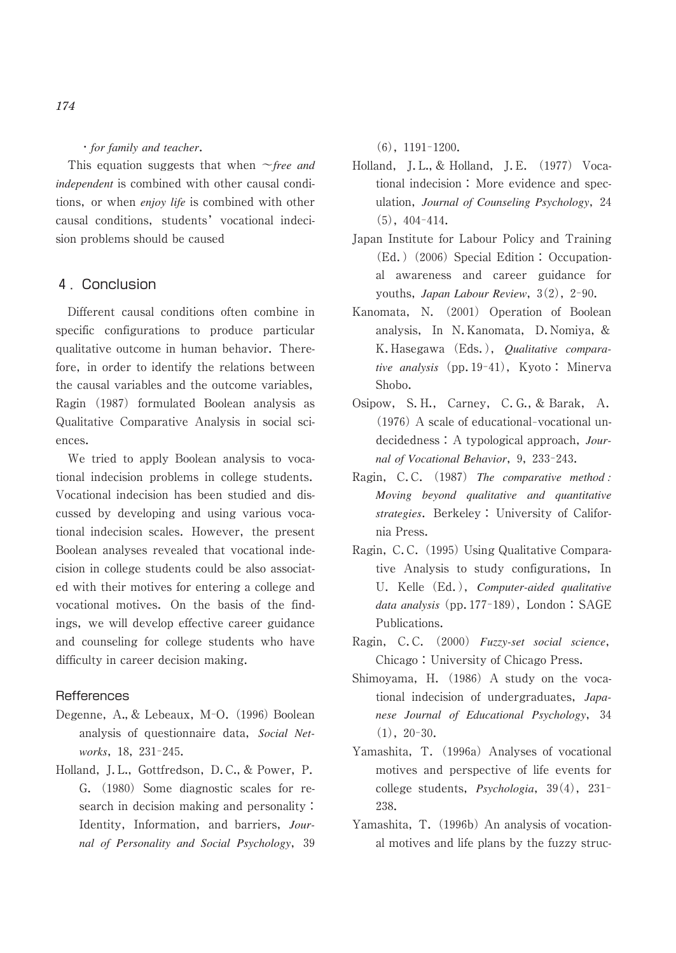## ・*for family and teacher*.

 This equation suggests that when ~*free and independent* is combined with other causal conditions, or when *enjoy life* is combined with other causal conditions, students' vocational indecision problems should be caused

## 4.Conclusion

 Different causal conditions often combine in specific configurations to produce particular qualitative outcome in human behavior. Therefore, in order to identify the relations between the causal variables and the outcome variables, Ragin (1987) formulated Boolean analysis as Qualitative Comparative Analysis in social sciences.

 We tried to apply Boolean analysis to vocational indecision problems in college students. Vocational indecision has been studied and discussed by developing and using various vocational indecision scales. However, the present Boolean analyses revealed that vocational indecision in college students could be also associated with their motives for entering a college and vocational motives. On the basis of the findings, we will develop effective career guidance and counseling for college students who have difficulty in career decision making.

## **Refferences**

- Degenne, A., & Lebeaux, M-O. (1996) Boolean analysis of questionnaire data, *Social Networks*, 18, 231-245.
- Holland, J.L., Gottfredson, D.C., & Power, P. G. (1980) Some diagnostic scales for research in decision making and personality : Identity, Information, and barriers, *Journal of Personality and Social Psychology*, 39

 $(6)$ , 1191-1200.

- Holland, J.L., & Holland, J.E. (1977) Vocational indecision : More evidence and speculation, *Journal of Counseling Psychology*, 24  $(5), 404-414.$
- Japan Institute for Labour Policy and Training (Ed.) (2006) Special Edition : Occupational awareness and career guidance for youths, *Japan Labour Review*, 3(2), 2-90.
- Kanomata, N. (2001) Operation of Boolean analysis, In N.Kanomata, D.Nomiya, & K.Hasegawa (Eds.), *Qualitative comparative analysis* (pp. 19-41), Kyoto: Minerva Shobo.
- Osipow, S.H., Carney, C.G., & Barak, A.  $(1976)$  A scale of educational-vocational undecidedness : A typological approach, *Journal of Vocational Behavior*, 9, 233-243.
- Ragin, C.C. (1987) *The comparative method : Moving beyond qualitative and quantitative strategies*. Berkeley : University of California Press.
- Ragin, C.C. (1995) Using Qualitative Comparative Analysis to study configurations, In U. Kelle (Ed.), *Computer-aided qualitative data analysis* (pp. 177-189), London : SAGE Publications.
- Ragin, C.C. (2000) *Fuzzy-set social science*, Chicago : University of Chicago Press.
- Shimoyama, H. (1986) A study on the vocational indecision of undergraduates, *Japanese Journal of Educational Psychology*, 34  $(1), 20-30.$
- Yamashita, T. (1996a) Analyses of vocational motives and perspective of life events for college students, *Psychologia*, 39(4), 231-238.
- Yamashita, T. (1996b) An analysis of vocational motives and life plans by the fuzzy struc-